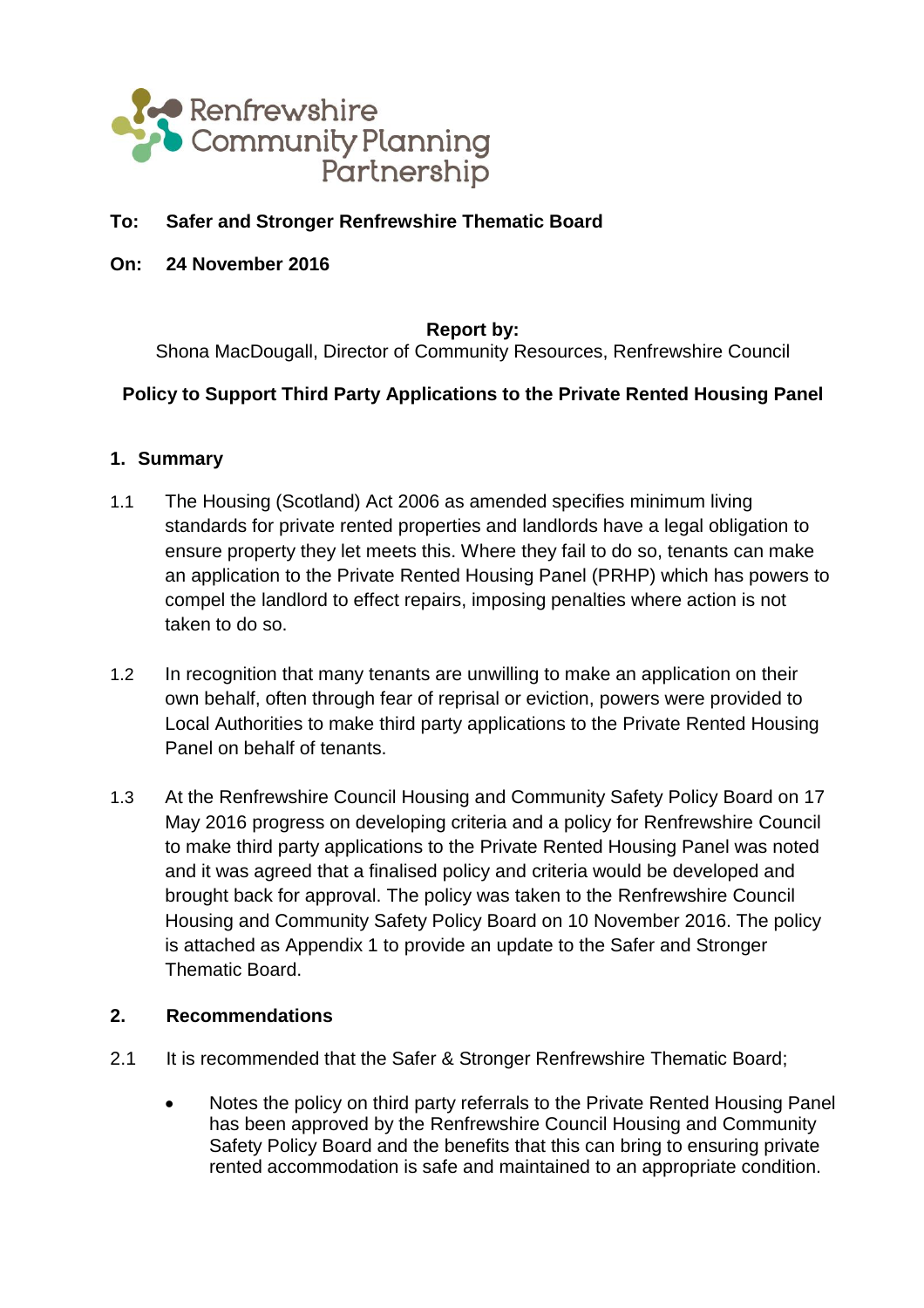

### **To: Safer and Stronger Renfrewshire Thematic Board**

**On: 24 November 2016**

**Report by:**

Shona MacDougall, Director of Community Resources, Renfrewshire Council

## **Policy to Support Third Party Applications to the Private Rented Housing Panel**

#### **1. Summary**

- 1.1 The Housing (Scotland) Act 2006 as amended specifies minimum living standards for private rented properties and landlords have a legal obligation to ensure property they let meets this. Where they fail to do so, tenants can make an application to the Private Rented Housing Panel (PRHP) which has powers to compel the landlord to effect repairs, imposing penalties where action is not taken to do so.
- 1.2 In recognition that many tenants are unwilling to make an application on their own behalf, often through fear of reprisal or eviction, powers were provided to Local Authorities to make third party applications to the Private Rented Housing Panel on behalf of tenants.
- 1.3 At the Renfrewshire Council Housing and Community Safety Policy Board on 17 May 2016 progress on developing criteria and a policy for Renfrewshire Council to make third party applications to the Private Rented Housing Panel was noted and it was agreed that a finalised policy and criteria would be developed and brought back for approval. The policy was taken to the Renfrewshire Council Housing and Community Safety Policy Board on 10 November 2016. The policy is attached as Appendix 1 to provide an update to the Safer and Stronger Thematic Board.

### **2. Recommendations**

- 2.1 It is recommended that the Safer & Stronger Renfrewshire Thematic Board;
	- Notes the policy on third party referrals to the Private Rented Housing Panel has been approved by the Renfrewshire Council Housing and Community Safety Policy Board and the benefits that this can bring to ensuring private rented accommodation is safe and maintained to an appropriate condition.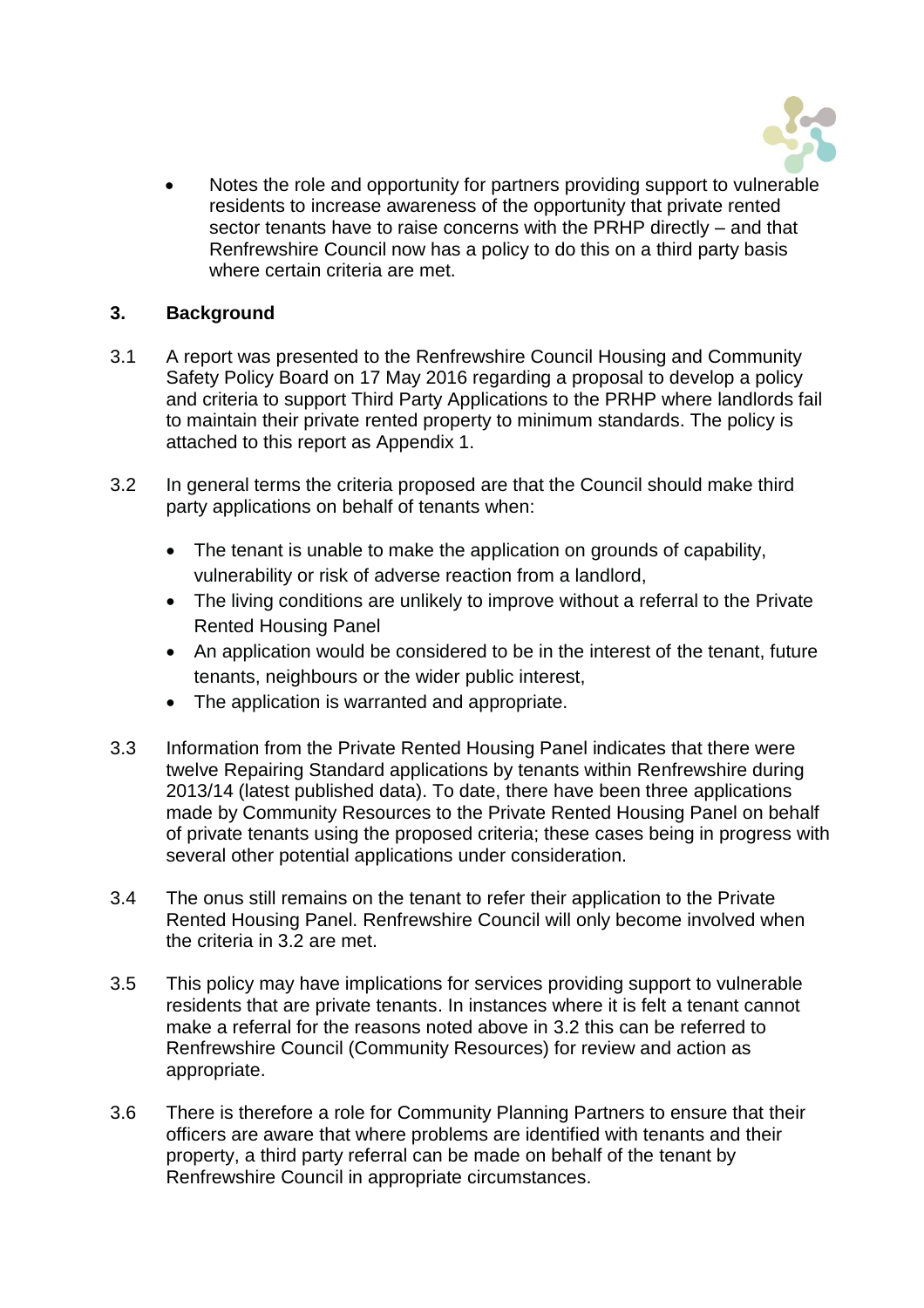

 Notes the role and opportunity for partners providing support to vulnerable residents to increase awareness of the opportunity that private rented sector tenants have to raise concerns with the PRHP directly – and that Renfrewshire Council now has a policy to do this on a third party basis where certain criteria are met.

### **3. Background**

- 3.1 A report was presented to the Renfrewshire Council Housing and Community Safety Policy Board on 17 May 2016 regarding a proposal to develop a policy and criteria to support Third Party Applications to the PRHP where landlords fail to maintain their private rented property to minimum standards. The policy is attached to this report as Appendix 1.
- 3.2 In general terms the criteria proposed are that the Council should make third party applications on behalf of tenants when:
	- The tenant is unable to make the application on grounds of capability, vulnerability or risk of adverse reaction from a landlord,
	- The living conditions are unlikely to improve without a referral to the Private Rented Housing Panel
	- An application would be considered to be in the interest of the tenant, future tenants, neighbours or the wider public interest,
	- The application is warranted and appropriate.
- 3.3 Information from the Private Rented Housing Panel indicates that there were twelve Repairing Standard applications by tenants within Renfrewshire during 2013/14 (latest published data). To date, there have been three applications made by Community Resources to the Private Rented Housing Panel on behalf of private tenants using the proposed criteria; these cases being in progress with several other potential applications under consideration.
- 3.4 The onus still remains on the tenant to refer their application to the Private Rented Housing Panel. Renfrewshire Council will only become involved when the criteria in 3.2 are met.
- 3.5 This policy may have implications for services providing support to vulnerable residents that are private tenants. In instances where it is felt a tenant cannot make a referral for the reasons noted above in 3.2 this can be referred to Renfrewshire Council (Community Resources) for review and action as appropriate.
- 3.6 There is therefore a role for Community Planning Partners to ensure that their officers are aware that where problems are identified with tenants and their property, a third party referral can be made on behalf of the tenant by Renfrewshire Council in appropriate circumstances.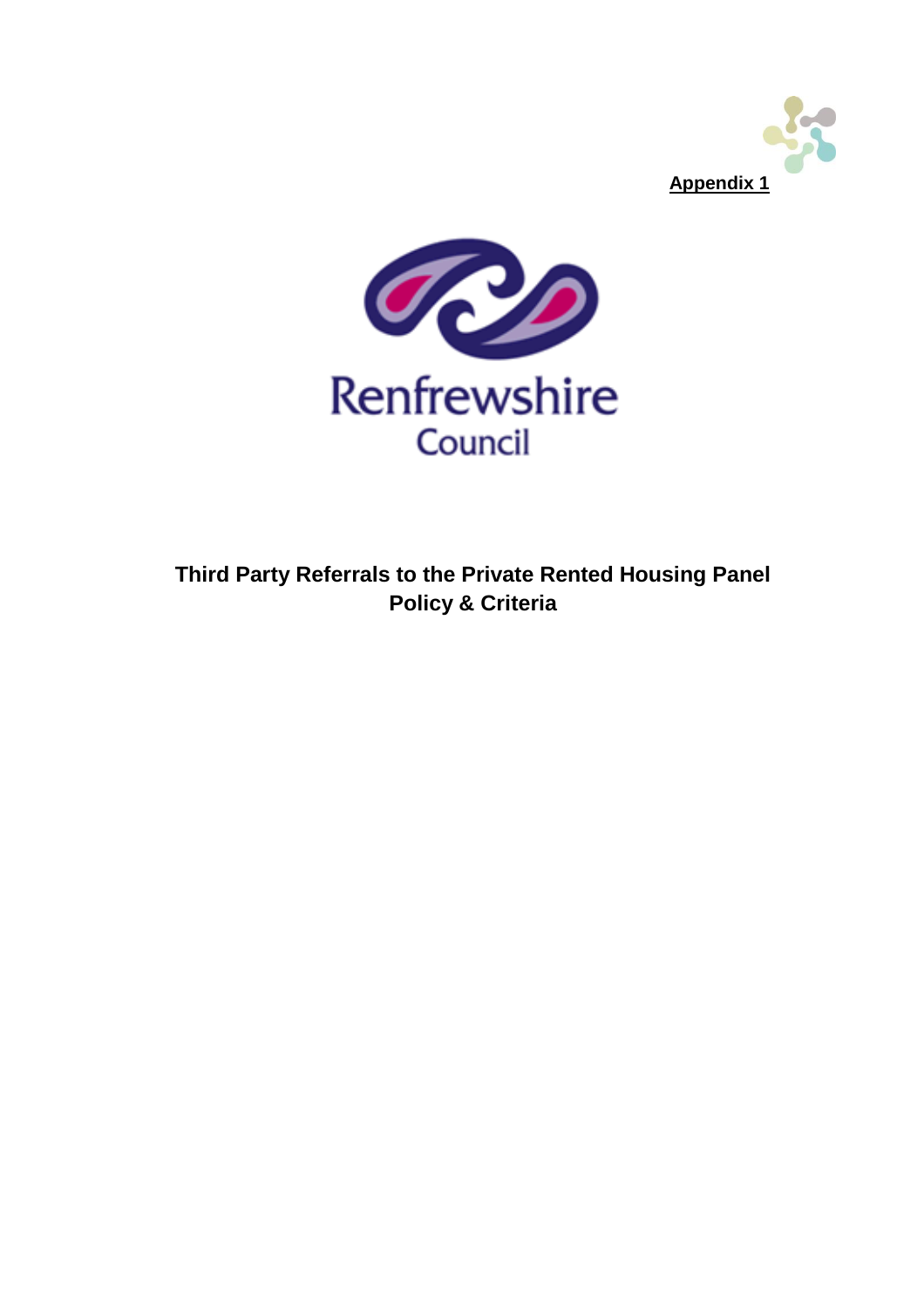



**Third Party Referrals to the Private Rented Housing Panel Policy & Criteria**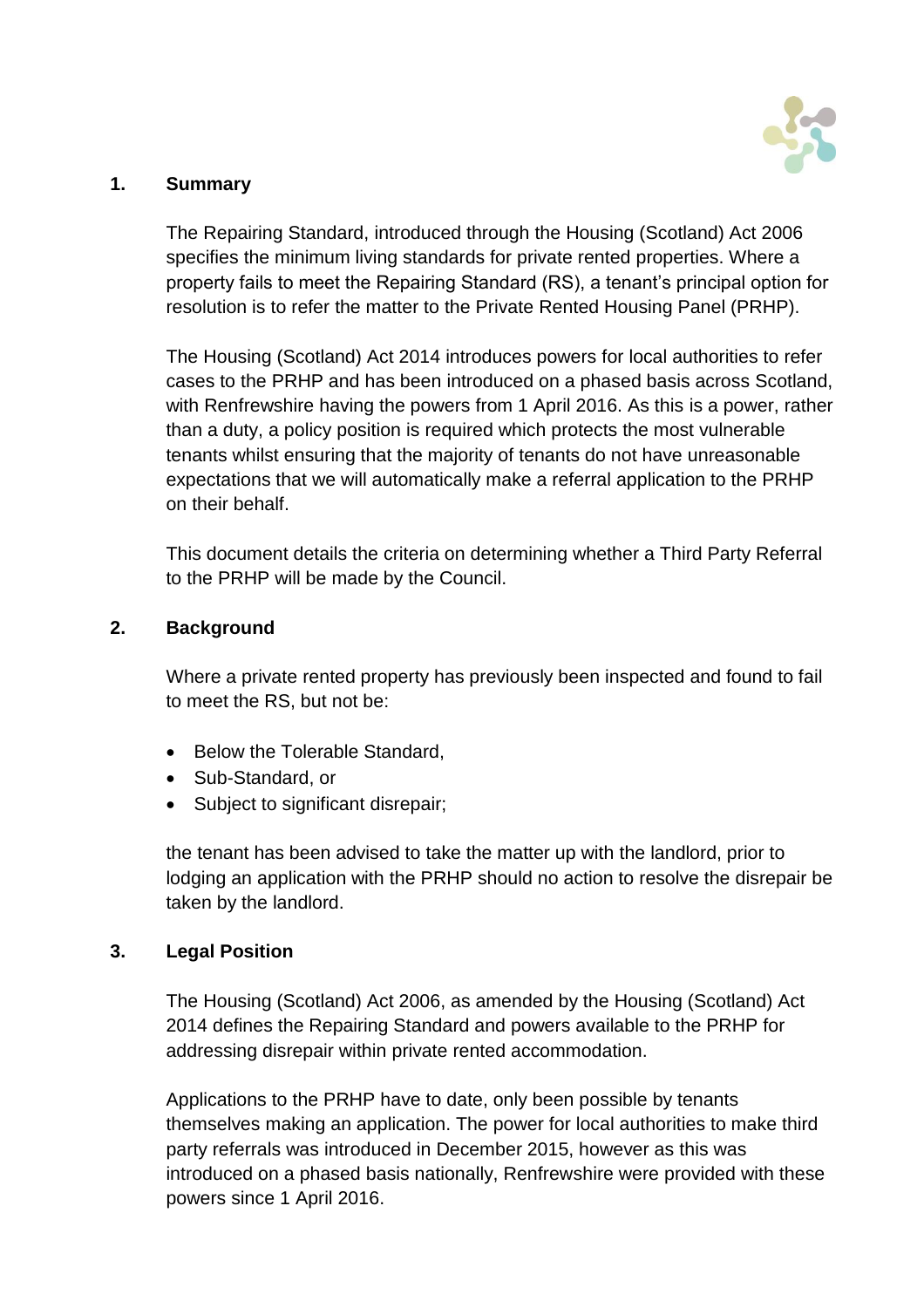

### **1. Summary**

The Repairing Standard, introduced through the Housing (Scotland) Act 2006 specifies the minimum living standards for private rented properties. Where a property fails to meet the Repairing Standard (RS), a tenant's principal option for resolution is to refer the matter to the Private Rented Housing Panel (PRHP).

The Housing (Scotland) Act 2014 introduces powers for local authorities to refer cases to the PRHP and has been introduced on a phased basis across Scotland, with Renfrewshire having the powers from 1 April 2016. As this is a power, rather than a duty, a policy position is required which protects the most vulnerable tenants whilst ensuring that the majority of tenants do not have unreasonable expectations that we will automatically make a referral application to the PRHP on their behalf.

This document details the criteria on determining whether a Third Party Referral to the PRHP will be made by the Council.

#### **2. Background**

Where a private rented property has previously been inspected and found to fail to meet the RS, but not be:

- Below the Tolerable Standard,
- Sub-Standard, or
- Subject to significant disrepair;

the tenant has been advised to take the matter up with the landlord, prior to lodging an application with the PRHP should no action to resolve the disrepair be taken by the landlord.

## **3. Legal Position**

The Housing (Scotland) Act 2006, as amended by the Housing (Scotland) Act 2014 defines the Repairing Standard and powers available to the PRHP for addressing disrepair within private rented accommodation.

Applications to the PRHP have to date, only been possible by tenants themselves making an application. The power for local authorities to make third party referrals was introduced in December 2015, however as this was introduced on a phased basis nationally, Renfrewshire were provided with these powers since 1 April 2016.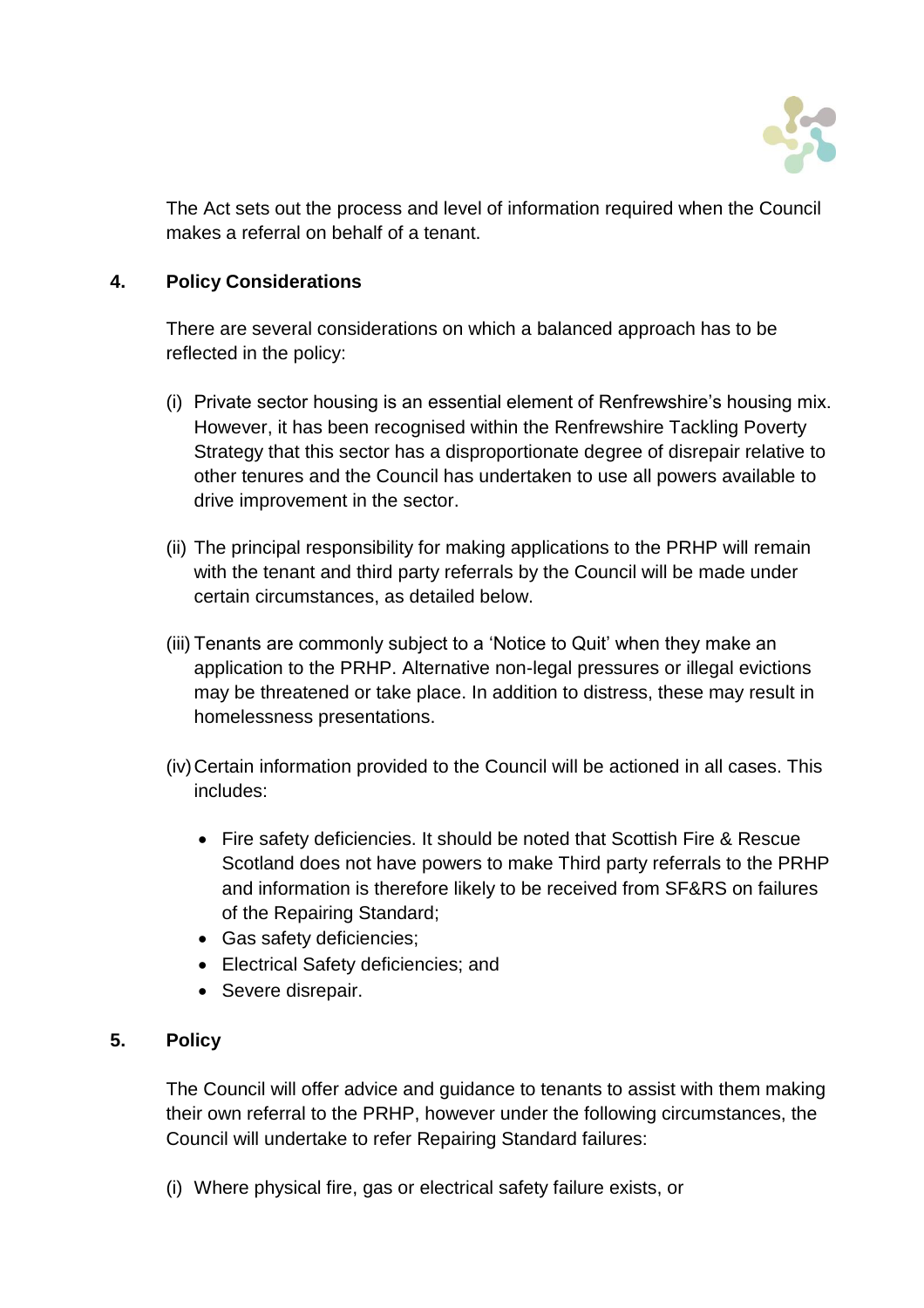

The Act sets out the process and level of information required when the Council makes a referral on behalf of a tenant.

# **4. Policy Considerations**

There are several considerations on which a balanced approach has to be reflected in the policy:

- (i) Private sector housing is an essential element of Renfrewshire's housing mix. However, it has been recognised within the Renfrewshire Tackling Poverty Strategy that this sector has a disproportionate degree of disrepair relative to other tenures and the Council has undertaken to use all powers available to drive improvement in the sector.
- (ii) The principal responsibility for making applications to the PRHP will remain with the tenant and third party referrals by the Council will be made under certain circumstances, as detailed below.
- (iii) Tenants are commonly subject to a 'Notice to Quit' when they make an application to the PRHP. Alternative non-legal pressures or illegal evictions may be threatened or take place. In addition to distress, these may result in homelessness presentations.
- (iv)Certain information provided to the Council will be actioned in all cases. This includes:
	- Fire safety deficiencies. It should be noted that Scottish Fire & Rescue Scotland does not have powers to make Third party referrals to the PRHP and information is therefore likely to be received from SF&RS on failures of the Repairing Standard;
	- Gas safety deficiencies;
	- Electrical Safety deficiencies; and
	- Severe disrepair.

## **5. Policy**

The Council will offer advice and guidance to tenants to assist with them making their own referral to the PRHP, however under the following circumstances, the Council will undertake to refer Repairing Standard failures:

(i) Where physical fire, gas or electrical safety failure exists, or